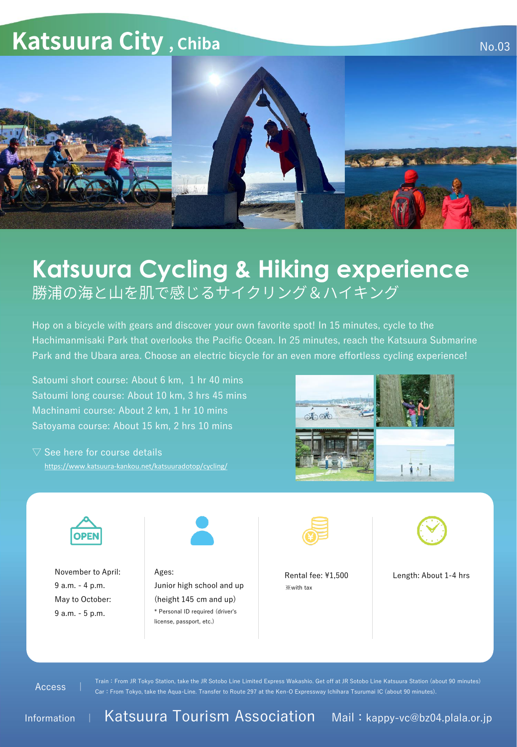## Katsuura City, Chiba



## **Katsuura Cycling & Hiking experience** 勝浦の海と山を肌で感じるサイクリング&ハイキング

Hop on a bicycle with gears and discover your own favorite spot! In 15 minutes, cycle to the Hachimanmisaki Park that overlooks the Pacific Ocean. In 25 minutes, reach the Katsuura Submarine Park and the Ubara area. Choose an electric bicycle for an even more effortless cycling experience!

Satoumi short course: About 6 km, 1 hr 40 mins Satoumi long course: About 10 km, 3 hrs 45 mins Machinami course: About 2 km, 1 hr 10 mins Satoyama course: About 15 km, 2 hrs 10 mins

<https://www.katsuura-kankou.net/katsuuradotop/cycling/>  $\nabla$  See here for course details





November to April: 9 a.m. - 4 p.m. May to October: 9 a.m. - 5 p.m.



Ages: Junior high school and up (height 145 cm and up) \* Personal ID required (driver's license, passport, etc.)



※with tax



No.03

Rental fee: ¥1,500 Length: About 1-4 hrs

Access |

Train:From JR Tokyo Station, take the JR Sotobo Line Limited Express Wakashio. Get off at JR Sotobo Line Katsuura Station (about 90 minutes) Car:From Tokyo, take the Aqua-Line. Transfer to Route 297 at the Ken-O Expressway Ichihara Tsurumai IC (about 90 minutes).

Information | Katsuura Tourism Association Mail: kappy-vc@bz04.plala.or.jp